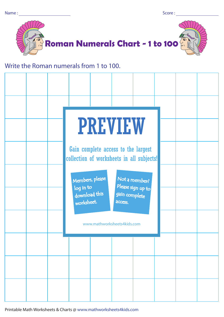

## Write the Roman numerals from 1 to 100.

| <b>PREVIEW</b>                                                                                                                |  |  |  |  |  |  |  |
|-------------------------------------------------------------------------------------------------------------------------------|--|--|--|--|--|--|--|
| Gain complete access to the largest<br>collection of worksheets in all subjects!                                              |  |  |  |  |  |  |  |
| Members, please<br>Not a member?<br>Please sign up to<br>log in to<br>download this<br>gain complete<br>worksheet.<br>access. |  |  |  |  |  |  |  |
| www.mathworksheets4kids.com                                                                                                   |  |  |  |  |  |  |  |
|                                                                                                                               |  |  |  |  |  |  |  |
|                                                                                                                               |  |  |  |  |  |  |  |
|                                                                                                                               |  |  |  |  |  |  |  |

Printable Math Worksheets & Charts @ www.mathworksheets4kids.com